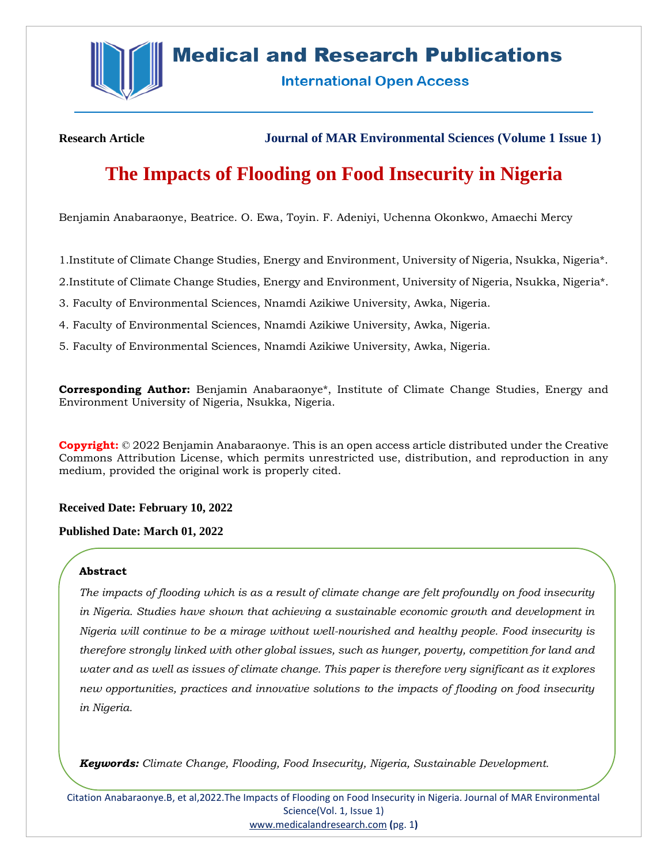

## **Medical and Research Publications**

**International Open Access** 

**Research Article Journal of MAR Environmental Sciences (Volume 1 Issue 1)**

# **The Impacts of Flooding on Food Insecurity in Nigeria**

Benjamin Anabaraonye, Beatrice. O. Ewa, Toyin. F. Adeniyi, Uchenna Okonkwo, Amaechi Mercy

1.Institute of Climate Change Studies, Energy and Environment, University of Nigeria, Nsukka, Nigeria\*.

2.Institute of Climate Change Studies, Energy and Environment, University of Nigeria, Nsukka, Nigeria\*.

3. Faculty of Environmental Sciences, Nnamdi Azikiwe University, Awka, Nigeria.

- 4. Faculty of Environmental Sciences, Nnamdi Azikiwe University, Awka, Nigeria.
- 5. Faculty of Environmental Sciences, Nnamdi Azikiwe University, Awka, Nigeria.

**Corresponding Author:** Benjamin Anabaraonye\*, Institute of Climate Change Studies, Energy and Environment University of Nigeria, Nsukka, Nigeria.

**Copyright:** © 2022 Benjamin Anabaraonye. This is an open access article distributed under the Creative Commons Attribution License, which permits unrestricted use, distribution, and reproduction in any medium, provided the original work is properly cited.

**Received Date: February 10, 2022**

**Published Date: March 01, 2022**

#### **Abstract**

*The impacts of flooding which is as a result of climate change are felt profoundly on food insecurity in Nigeria. Studies have shown that achieving a sustainable economic growth and development in Nigeria will continue to be a mirage without well-nourished and healthy people. Food insecurity is therefore strongly linked with other global issues, such as hunger, poverty, competition for land and water and as well as issues of climate change. This paper is therefore very significant as it explores new opportunities, practices and innovative solutions to the impacts of flooding on food insecurity in Nigeria.*

*Keywords: Climate Change, Flooding, Food Insecurity, Nigeria, Sustainable Development.*

Citation Anabaraonye.B, et al,2022.The Impacts of Flooding on Food Insecurity in Nigeria. Journal of MAR Environmental Science(Vol. 1, Issue 1) [www.medicalandresearch.com](http://www.medicalandresearch.com/) **(**pg. 1**)**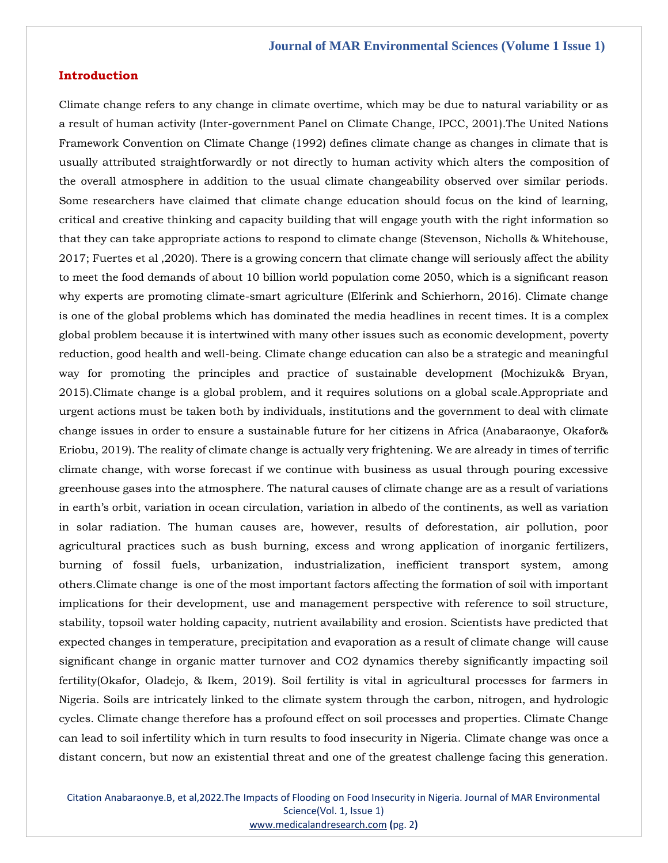## **Introduction**

Climate change refers to any change in climate overtime, which may be due to natural variability or as a result of human activity (Inter-government Panel on Climate Change, IPCC, 2001).The United Nations Framework Convention on Climate Change (1992) defines climate change as changes in climate that is usually attributed straightforwardly or not directly to human activity which alters the composition of the overall atmosphere in addition to the usual climate changeability observed over similar periods. Some researchers have claimed that climate change education should focus on the kind of learning, critical and creative thinking and capacity building that will engage youth with the right information so that they can take appropriate actions to respond to climate change (Stevenson, Nicholls & Whitehouse, 2017; Fuertes et al ,2020). There is a growing concern that climate change will seriously affect the ability to meet the food demands of about 10 billion world population come 2050, which is a significant reason why experts are promoting climate-smart agriculture (Elferink and Schierhorn, 2016). Climate change is one of the global problems which has dominated the media headlines in recent times. It is a complex global problem because it is intertwined with many other issues such as economic development, poverty reduction, good health and well-being. Climate change education can also be a strategic and meaningful way for promoting the principles and practice of sustainable development (Mochizuk& Bryan, 2015).Climate change is a global problem, and it requires solutions on a global scale.Appropriate and urgent actions must be taken both by individuals, institutions and the government to deal with climate change issues in order to ensure a sustainable future for her citizens in Africa (Anabaraonye, Okafor& Eriobu, 2019). The reality of climate change is actually very frightening. We are already in times of terrific climate change, with worse forecast if we continue with business as usual through pouring excessive greenhouse gases into the atmosphere. The natural causes of climate change are as a result of variations in earth's orbit, variation in ocean circulation, variation in albedo of the continents, as well as variation in solar radiation. The human causes are, however, results of deforestation, air pollution, poor agricultural practices such as bush burning, excess and wrong application of inorganic fertilizers, burning of fossil fuels, urbanization, industrialization, inefficient transport system, among others.Climate change is one of the most important factors affecting the formation of soil with important implications for their development, use and management perspective with reference to soil structure, stability, topsoil water holding capacity, nutrient availability and erosion. Scientists have predicted that expected changes in temperature, precipitation and evaporation as a result of climate change will cause significant change in organic matter turnover and CO2 dynamics thereby significantly impacting soil fertility(Okafor, Oladejo, & Ikem, 2019). Soil fertility is vital in agricultural processes for farmers in Nigeria. Soils are intricately linked to the climate system through the carbon, nitrogen, and hydrologic cycles. Climate change therefore has a profound effect on soil processes and properties. Climate Change can lead to soil infertility which in turn results to food insecurity in Nigeria. Climate change was once a distant concern, but now an existential threat and one of the greatest challenge facing this generation.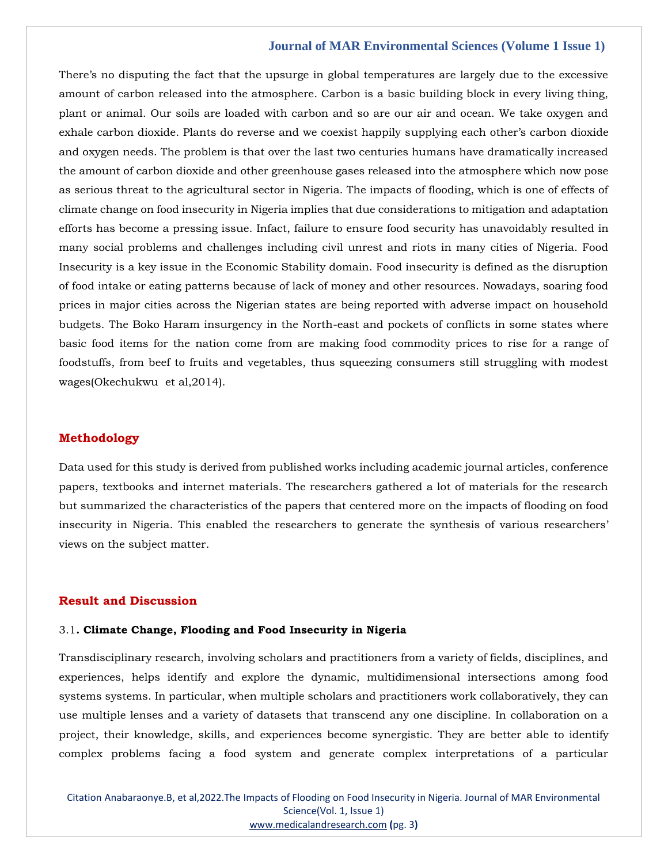There's no disputing the fact that the upsurge in global temperatures are largely due to the excessive amount of carbon released into the atmosphere. Carbon is a basic building block in every living thing, plant or animal. Our soils are loaded with carbon and so are our air and ocean. We take oxygen and exhale carbon dioxide. Plants do reverse and we coexist happily supplying each other's carbon dioxide and oxygen needs. The problem is that over the last two centuries humans have dramatically increased the amount of carbon dioxide and other greenhouse gases released into the atmosphere which now pose as serious threat to the agricultural sector in Nigeria. The impacts of flooding, which is one of effects of climate change on food insecurity in Nigeria implies that due considerations to mitigation and adaptation efforts has become a pressing issue. Infact, failure to ensure food security has unavoidably resulted in many social problems and challenges including civil unrest and riots in many cities of Nigeria. Food Insecurity is a key issue in the Economic Stability domain. Food insecurity is defined as the disruption of food intake or eating patterns because of lack of money and other resources. Nowadays, soaring food prices in major cities across the Nigerian states are being reported with adverse impact on household budgets. The Boko Haram insurgency in the North-east and pockets of conflicts in some states where basic food items for the nation come from are making food commodity prices to rise for a range of foodstuffs, from beef to fruits and vegetables, thus squeezing consumers still struggling with modest wages(Okechukwu et al,2014).

#### **Methodology**

Data used for this study is derived from published works including academic journal articles, conference papers, textbooks and internet materials. The researchers gathered a lot of materials for the research but summarized the characteristics of the papers that centered more on the impacts of flooding on food insecurity in Nigeria. This enabled the researchers to generate the synthesis of various researchers' views on the subject matter.

#### **Result and Discussion**

#### 3.1**. Climate Change, Flooding and Food Insecurity in Nigeria**

Transdisciplinary research, involving scholars and practitioners from a variety of fields, disciplines, and experiences, helps identify and explore the dynamic, multidimensional intersections among food systems systems. In particular, when multiple scholars and practitioners work collaboratively, they can use multiple lenses and a variety of datasets that transcend any one discipline. In collaboration on a project, their knowledge, skills, and experiences become synergistic. They are better able to identify complex problems facing a food system and generate complex interpretations of a particular

Citation Anabaraonye.B, et al,2022.The Impacts of Flooding on Food Insecurity in Nigeria. Journal of MAR Environmental Science(Vol. 1, Issue 1) [www.medicalandresearch.com](http://www.medicalandresearch.com/) **(**pg. 3**)**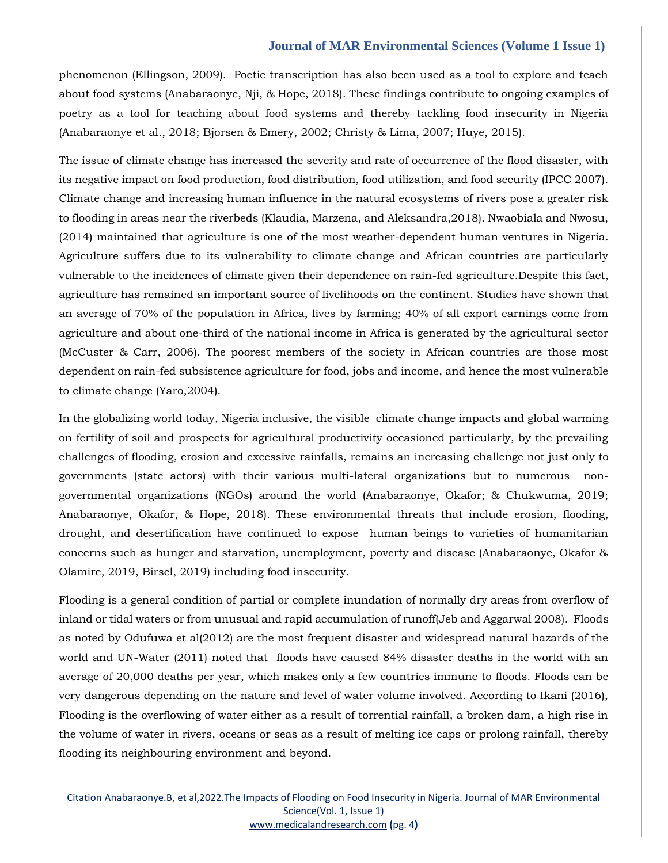phenomenon (Ellingson, 2009). Poetic transcription has also been used as a tool to explore and teach about food systems (Anabaraonye, Nji, & Hope, 2018). These findings contribute to ongoing examples of poetry as a tool for teaching about food systems and thereby tackling food insecurity in Nigeria (Anabaraonye et al., 2018; Bjorsen & Emery, 2002; Christy & Lima, 2007; Huye, 2015).

The issue of climate change has increased the severity and rate of occurrence of the flood disaster, with its negative impact on food production, food distribution, food utilization, and food security (IPCC 2007). Climate change and increasing human influence in the natural ecosystems of rivers pose a greater risk to flooding in areas near the riverbeds (Klaudia, Marzena, and Aleksandra,2018). Nwaobiala and Nwosu, (2014) maintained that agriculture is one of the most weather-dependent human ventures in Nigeria. Agriculture suffers due to its vulnerability to climate change and African countries are particularly vulnerable to the incidences of climate given their dependence on rain-fed agriculture.Despite this fact, agriculture has remained an important source of livelihoods on the continent. Studies have shown that an average of 70% of the population in Africa, lives by farming; 40% of all export earnings come from agriculture and about one-third of the national income in Africa is generated by the agricultural sector (McCuster & Carr, 2006). The poorest members of the society in African countries are those most dependent on rain-fed subsistence agriculture for food, jobs and income, and hence the most vulnerable to climate change (Yaro,2004).

In the globalizing world today, Nigeria inclusive, the visible climate change impacts and global warming on fertility of soil and prospects for agricultural productivity occasioned particularly, by the prevailing challenges of flooding, erosion and excessive rainfalls, remains an increasing challenge not just only to governments (state actors) with their various multi-lateral organizations but to numerous nongovernmental organizations (NGOs) around the world (Anabaraonye, Okafor; & Chukwuma, 2019; Anabaraonye, Okafor, & Hope, 2018). These environmental threats that include erosion, flooding, drought, and desertification have continued to expose human beings to varieties of humanitarian concerns such as hunger and starvation, unemployment, poverty and disease (Anabaraonye, Okafor & Olamire, 2019, Birsel, 2019) including food insecurity.

Flooding is a general condition of partial or complete inundation of normally dry areas from overflow of inland or tidal waters or from unusual and rapid accumulation of runoff(Jeb and Aggarwal 2008). Floods as noted by Odufuwa et al(2012) are the most frequent disaster and widespread natural hazards of the world and UN-Water (2011) noted that floods have caused 84% disaster deaths in the world with an average of 20,000 deaths per year, which makes only a few countries immune to floods. Floods can be very dangerous depending on the nature and level of water volume involved. According to Ikani (2016), Flooding is the overflowing of water either as a result of torrential rainfall, a broken dam, a high rise in the volume of water in rivers, oceans or seas as a result of melting ice caps or prolong rainfall, thereby flooding its neighbouring environment and beyond.

Citation Anabaraonye.B, et al,2022.The Impacts of Flooding on Food Insecurity in Nigeria. Journal of MAR Environmental Science(Vol. 1, Issue 1) [www.medicalandresearch.com](http://www.medicalandresearch.com/) **(**pg. 4**)**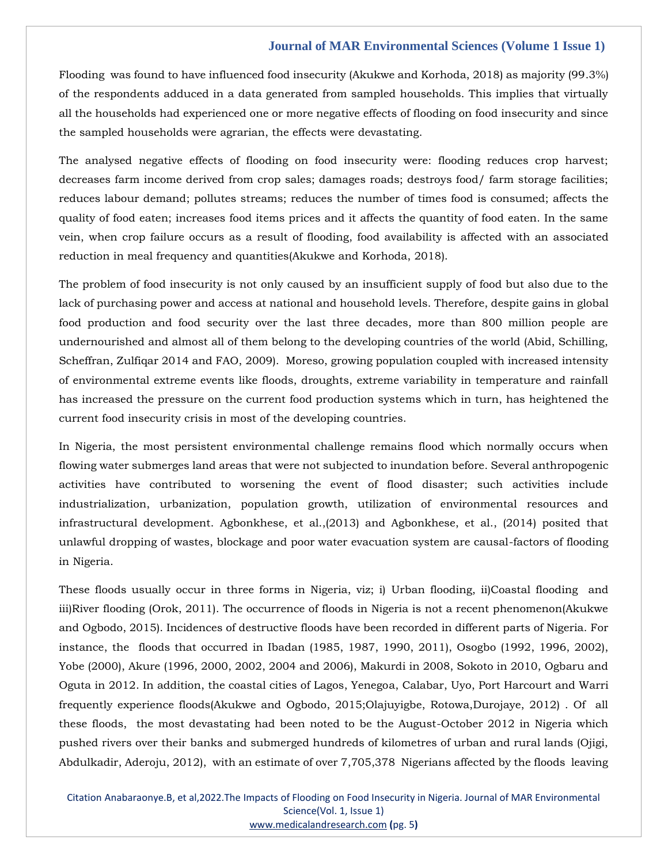Flooding was found to have influenced food insecurity (Akukwe and Korhoda, 2018) as majority (99.3%) of the respondents adduced in a data generated from sampled households. This implies that virtually all the households had experienced one or more negative effects of flooding on food insecurity and since the sampled households were agrarian, the effects were devastating.

The analysed negative effects of flooding on food insecurity were: flooding reduces crop harvest; decreases farm income derived from crop sales; damages roads; destroys food/ farm storage facilities; reduces labour demand; pollutes streams; reduces the number of times food is consumed; affects the quality of food eaten; increases food items prices and it affects the quantity of food eaten. In the same vein, when crop failure occurs as a result of flooding, food availability is affected with an associated reduction in meal frequency and quantities(Akukwe and Korhoda, 2018).

The problem of food insecurity is not only caused by an insufficient supply of food but also due to the lack of purchasing power and access at national and household levels. Therefore, despite gains in global food production and food security over the last three decades, more than 800 million people are undernourished and almost all of them belong to the developing countries of the world (Abid, Schilling, Scheffran, Zulfiqar 2014 and FAO, 2009). Moreso, growing population coupled with increased intensity of environmental extreme events like floods, droughts, extreme variability in temperature and rainfall has increased the pressure on the current food production systems which in turn, has heightened the current food insecurity crisis in most of the developing countries.

In Nigeria, the most persistent environmental challenge remains flood which normally occurs when flowing water submerges land areas that were not subjected to inundation before. Several anthropogenic activities have contributed to worsening the event of flood disaster; such activities include industrialization, urbanization, population growth, utilization of environmental resources and infrastructural development. Agbonkhese, et al.,(2013) and Agbonkhese, et al., (2014) posited that unlawful dropping of wastes, blockage and poor water evacuation system are causal-factors of flooding in Nigeria.

These floods usually occur in three forms in Nigeria, viz; i) Urban flooding, ii)Coastal flooding and iii)River flooding (Orok, 2011). The occurrence of floods in Nigeria is not a recent phenomenon(Akukwe and Ogbodo, 2015). Incidences of destructive floods have been recorded in different parts of Nigeria. For instance, the floods that occurred in Ibadan (1985, 1987, 1990, 2011), Osogbo (1992, 1996, 2002), Yobe (2000), Akure (1996, 2000, 2002, 2004 and 2006), Makurdi in 2008, Sokoto in 2010, Ogbaru and Oguta in 2012. In addition, the coastal cities of Lagos, Yenegoa, Calabar, Uyo, Port Harcourt and Warri frequently experience floods(Akukwe and Ogbodo, 2015;Olajuyigbe, Rotowa,Durojaye, 2012) . Of all these floods, the most devastating had been noted to be the August-October 2012 in Nigeria which pushed rivers over their banks and submerged hundreds of kilometres of urban and rural lands (Ojigi, Abdulkadir, Aderoju, 2012), with an estimate of over 7,705,378 Nigerians affected by the floods leaving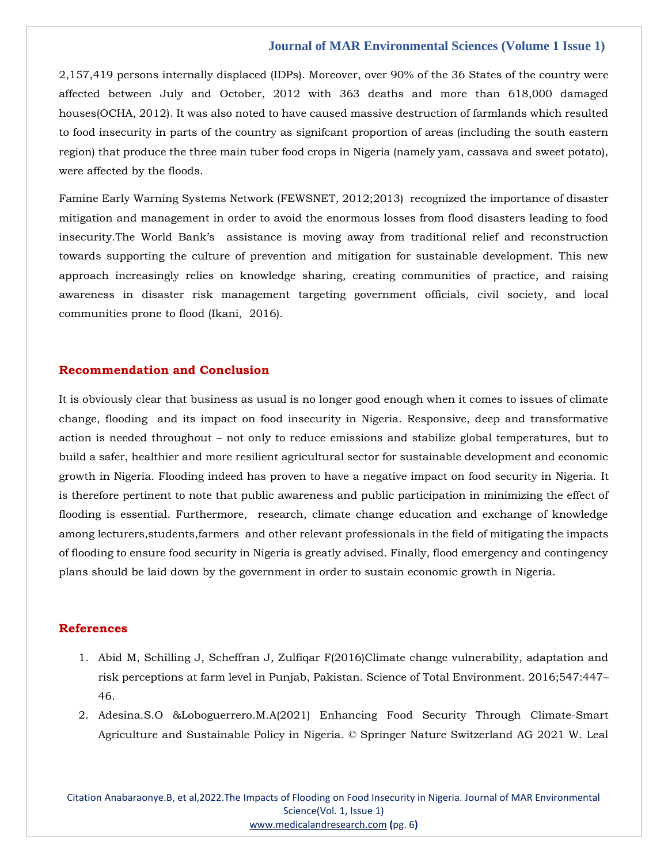2,157,419 persons internally displaced (IDPs). Moreover, over 90% of the 36 States of the country were affected between July and October, 2012 with 363 deaths and more than 618,000 damaged houses(OCHA, 2012). It was also noted to have caused massive destruction of farmlands which resulted to food insecurity in parts of the country as signifcant proportion of areas (including the south eastern region) that produce the three main tuber food crops in Nigeria (namely yam, cassava and sweet potato), were affected by the floods.

Famine Early Warning Systems Network (FEWSNET, 2012;2013) recognized the importance of disaster mitigation and management in order to avoid the enormous losses from flood disasters leading to food insecurity.The World Bank's assistance is moving away from traditional relief and reconstruction towards supporting the culture of prevention and mitigation for sustainable development. This new approach increasingly relies on knowledge sharing, creating communities of practice, and raising awareness in disaster risk management targeting government officials, civil society, and local communities prone to flood (Ikani, 2016).

#### **Recommendation and Conclusion**

It is obviously clear that business as usual is no longer good enough when it comes to issues of climate change, flooding and its impact on food insecurity in Nigeria. Responsive, deep and transformative action is needed throughout – not only to reduce emissions and stabilize global temperatures, but to build a safer, healthier and more resilient agricultural sector for sustainable development and economic growth in Nigeria. Flooding indeed has proven to have a negative impact on food security in Nigeria. It is therefore pertinent to note that public awareness and public participation in minimizing the effect of flooding is essential. Furthermore, research, climate change education and exchange of knowledge among lecturers,students,farmers and other relevant professionals in the field of mitigating the impacts of flooding to ensure food security in Nigeria is greatly advised. Finally, flood emergency and contingency plans should be laid down by the government in order to sustain economic growth in Nigeria.

## **References**

- 1. Abid M, Schilling J, Scheffran J, Zulfiqar F(2016)Climate change vulnerability, adaptation and risk perceptions at farm level in Punjab, Pakistan. Science of Total Environment. 2016;547:447– 46.
- 2. Adesina.S.O &Loboguerrero.M.A(2021) Enhancing Food Security Through Climate-Smart Agriculture and Sustainable Policy in Nigeria. © Springer Nature Switzerland AG 2021 W. Leal

Citation Anabaraonye.B, et al,2022.The Impacts of Flooding on Food Insecurity in Nigeria. Journal of MAR Environmental Science(Vol. 1, Issue 1) [www.medicalandresearch.com](http://www.medicalandresearch.com/) **(**pg. 6**)**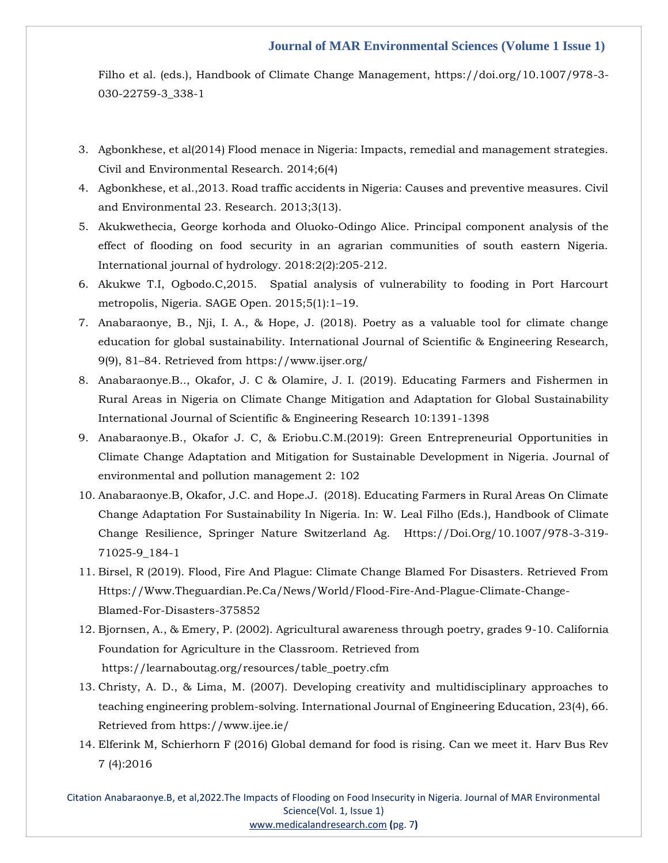Filho et al. (eds.), Handbook of Climate Change Management, https://doi.org/10.1007/978-3- 030-22759-3\_338-1

- 3. Agbonkhese, et al(2014) Flood menace in Nigeria: Impacts, remedial and management strategies. Civil and Environmental Research. 2014;6(4)
- 4. Agbonkhese, et al.,2013. Road traffic accidents in Nigeria: Causes and preventive measures. Civil and Environmental 23. Research. 2013;3(13).
- 5. Akukwethecia, George korhoda and Oluoko-Odingo Alice. Principal component analysis of the effect of flooding on food security in an agrarian communities of south eastern Nigeria. International journal of hydrology. 2018:2(2):205-212.
- 6. Akukwe T.I, Ogbodo.C,2015. Spatial analysis of vulnerability to fooding in Port Harcourt metropolis, Nigeria. SAGE Open. 2015;5(1):1–19.
- 7. Anabaraonye, B., Nji, I. A., & Hope, J. (2018). Poetry as a valuable tool for climate change education for global sustainability. International Journal of Scientific & Engineering Research, 9(9), 81–84. Retrieved from https://www.ijser.org/
- 8. Anabaraonye.B.., Okafor, J. C & Olamire, J. I. (2019). Educating Farmers and Fishermen in Rural Areas in Nigeria on Climate Change Mitigation and Adaptation for Global Sustainability International Journal of Scientific & Engineering Research 10:1391-1398
- 9. Anabaraonye.B., Okafor J. C, & Eriobu.C.M.(2019): Green Entrepreneurial Opportunities in Climate Change Adaptation and Mitigation for Sustainable Development in Nigeria. Journal of environmental and pollution management 2: 102
- 10. Anabaraonye.B, Okafor, J.C. and Hope.J. (2018). Educating Farmers in Rural Areas On Climate Change Adaptation For Sustainability In Nigeria. In: W. Leal Filho (Eds.), Handbook of Climate Change Resilience, Springer Nature Switzerland Ag. Https://Doi.Org/10.1007/978-3-319- 71025-9\_184-1
- 11. Birsel, R (2019). Flood, Fire And Plague: Climate Change Blamed For Disasters. Retrieved From Https://Www.Theguardian.Pe.Ca/News/World/Flood-Fire-And-Plague-Climate-Change-Blamed-For-Disasters-375852
- 12. Bjornsen, A., & Emery, P. (2002). Agricultural awareness through poetry, grades 9-10. California Foundation for Agriculture in the Classroom. Retrieved from https://learnaboutag.org/resources/table\_poetry.cfm
- 13. Christy, A. D., & Lima, M. (2007). Developing creativity and multidisciplinary approaches to teaching engineering problem-solving. International Journal of Engineering Education, 23(4), 66. Retrieved from https://www.ijee.ie/
- 14. Elferink M, Schierhorn F (2016) Global demand for food is rising. Can we meet it. Harv Bus Rev 7 (4):2016

Citation Anabaraonye.B, et al,2022.The Impacts of Flooding on Food Insecurity in Nigeria. Journal of MAR Environmental Science(Vol. 1, Issue 1) [www.medicalandresearch.com](http://www.medicalandresearch.com/) **(**pg. 7**)**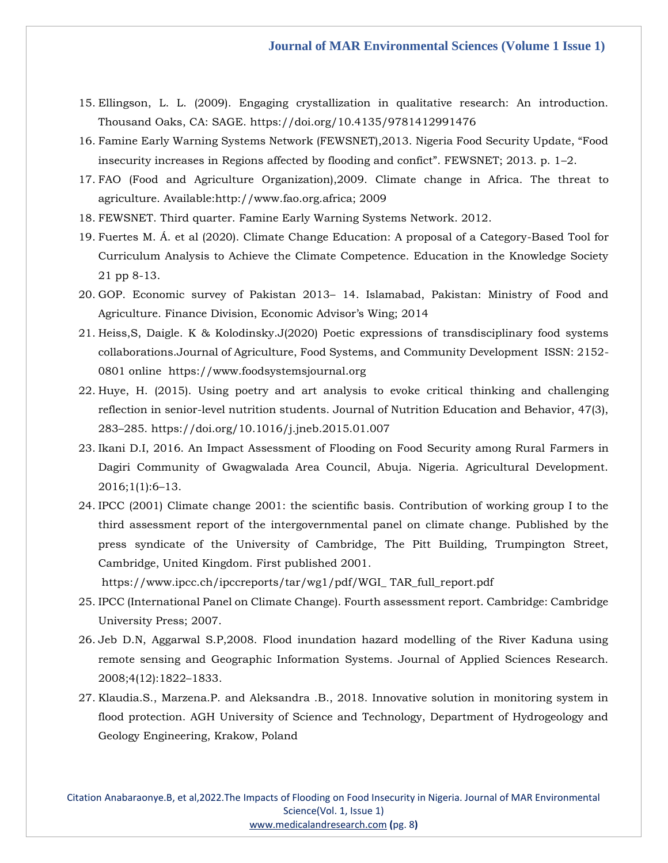- 15. Ellingson, L. L. (2009). Engaging crystallization in qualitative research: An introduction. Thousand Oaks, CA: SAGE. https://doi.org/10.4135/9781412991476
- 16. Famine Early Warning Systems Network (FEWSNET),2013. Nigeria Food Security Update, "Food insecurity increases in Regions affected by flooding and confict". FEWSNET; 2013. p. 1–2.
- 17. FAO (Food and Agriculture Organization),2009. Climate change in Africa. The threat to agriculture. Available:http://www.fao.org.africa; 2009
- 18. FEWSNET. Third quarter. Famine Early Warning Systems Network. 2012.
- 19. Fuertes M. Á. et al (2020). Climate Change Education: A proposal of a Category-Based Tool for Curriculum Analysis to Achieve the Climate Competence. Education in the Knowledge Society 21 pp 8-13.
- 20. GOP. Economic survey of Pakistan 2013– 14. Islamabad, Pakistan: Ministry of Food and Agriculture. Finance Division, Economic Advisor's Wing; 2014
- 21. Heiss,S, Daigle. K & Kolodinsky.J(2020) Poetic expressions of transdisciplinary food systems collaborations.Journal of Agriculture, Food Systems, and Community Development ISSN: 2152- 0801 online https://www.foodsystemsjournal.org
- 22. Huye, H. (2015). Using poetry and art analysis to evoke critical thinking and challenging reflection in senior-level nutrition students. Journal of Nutrition Education and Behavior, 47(3), 283–285. https://doi.org/10.1016/j.jneb.2015.01.007
- 23. Ikani D.I, 2016. An Impact Assessment of Flooding on Food Security among Rural Farmers in Dagiri Community of Gwagwalada Area Council, Abuja. Nigeria. Agricultural Development. 2016;1(1):6–13.
- 24. IPCC (2001) Climate change 2001: the scientific basis. Contribution of working group I to the third assessment report of the intergovernmental panel on climate change. Published by the press syndicate of the University of Cambridge, The Pitt Building, Trumpington Street, Cambridge, United Kingdom. First published 2001.

https://www.ipcc.ch/ipccreports/tar/wg1/pdf/WGI\_ TAR\_full\_report.pdf

- 25. IPCC (International Panel on Climate Change). Fourth assessment report. Cambridge: Cambridge University Press; 2007.
- 26. Jeb D.N, Aggarwal S.P,2008. Flood inundation hazard modelling of the River Kaduna using remote sensing and Geographic Information Systems. Journal of Applied Sciences Research. 2008;4(12):1822–1833.
- 27. Klaudia.S., Marzena.P. and Aleksandra .B., 2018. Innovative solution in monitoring system in flood protection. AGH University of Science and Technology, Department of Hydrogeology and Geology Engineering, Krakow, Poland

Citation Anabaraonye.B, et al,2022.The Impacts of Flooding on Food Insecurity in Nigeria. Journal of MAR Environmental Science(Vol. 1, Issue 1) [www.medicalandresearch.com](http://www.medicalandresearch.com/) **(**pg. 8**)**